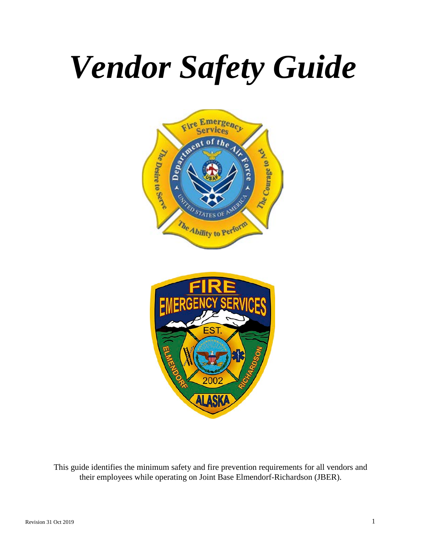# *Vendor Safety Guide*





This guide identifies the minimum safety and fire prevention requirements for all vendors and their employees while operating on Joint Base Elmendorf-Richardson (JBER).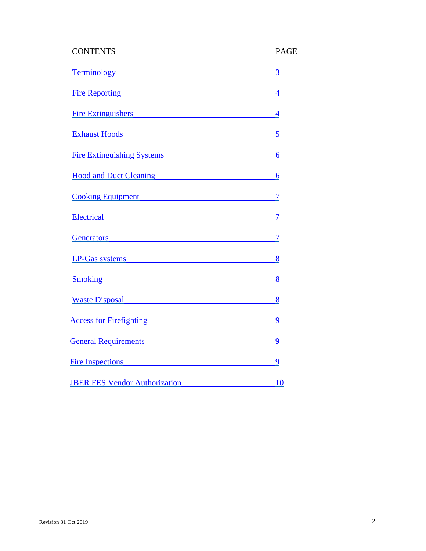# CONTENTS PAGE

| Terminology 3                           |  |
|-----------------------------------------|--|
| Fire Reporting 4                        |  |
| Fire Extinguishers 4                    |  |
| Exhaust Hoods 5                         |  |
| Fire Extinguishing Systems 6            |  |
| Hood and Duct Cleaning 6                |  |
| <u>Cooking Equipment 7</u>              |  |
| Electrical 7                            |  |
| Generators 7                            |  |
| LP-Gas systems 8                        |  |
| <u>Smoking 8</u>                        |  |
| <u>Waste Disposal 8</u>                 |  |
| Access for Firefighting 9               |  |
| <b>General Requirements</b> 9           |  |
| Fire Inspections 9                      |  |
| <b>IBER FES Vendor Authorization</b> 10 |  |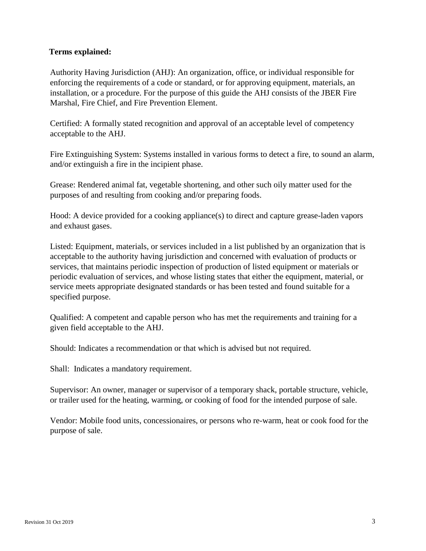# <span id="page-2-0"></span>**Terms explained:**

Authority Having Jurisdiction (AHJ): An organization, office, or individual responsible for enforcing the requirements of a code or standard, or for approving equipment, materials, an installation, or a procedure. For the purpose of this guide the AHJ consists of the JBER Fire Marshal, Fire Chief, and Fire Prevention Element.

Certified: A formally stated recognition and approval of an acceptable level of competency acceptable to the AHJ.

Fire Extinguishing System: Systems installed in various forms to detect a fire, to sound an alarm, and/or extinguish a fire in the incipient phase.

Grease: Rendered animal fat, vegetable shortening, and other such oily matter used for the purposes of and resulting from cooking and/or preparing foods.

Hood: A device provided for a cooking appliance(s) to direct and capture grease-laden vapors and exhaust gases.

Listed: Equipment, materials, or services included in a list published by an organization that is acceptable to the authority having jurisdiction and concerned with evaluation of products or services, that maintains periodic inspection of production of listed equipment or materials or periodic evaluation of services, and whose listing states that either the equipment, material, or service meets appropriate designated standards or has been tested and found suitable for a specified purpose.

Qualified: A competent and capable person who has met the requirements and training for a given field acceptable to the AHJ.

Should: Indicates a recommendation or that which is advised but not required.

Shall: Indicates a mandatory requirement.

Supervisor: An owner, manager or supervisor of a temporary shack, portable structure, vehicle, or trailer used for the heating, warming, or cooking of food for the intended purpose of sale.

Vendor: Mobile food units, concessionaires, or persons who re-warm, heat or cook food for the purpose of sale.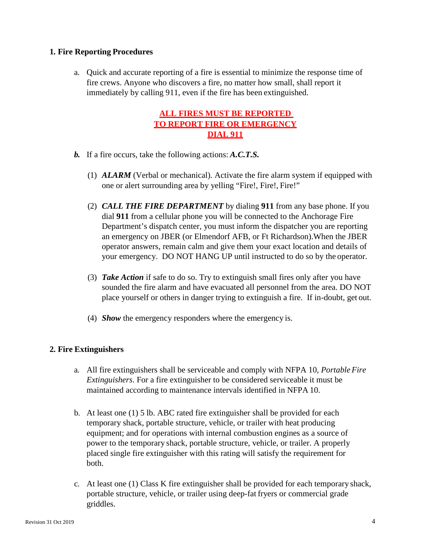# <span id="page-3-0"></span>**1. Fire Reporting Procedures**

a. Quick and accurate reporting of a fire is essential to minimize the response time of fire crews. Anyone who discovers a fire, no matter how small, shall report it immediately by calling 911, even if the fire has been extinguished.

# **ALL FIRES MUST BE REPORTED TO REPORT FIRE OR EMERGENCY DIAL 911**

- *b.* If a fire occurs, take the following actions: *A.C.T.S.*
	- (1) *ALARM* (Verbal or mechanical). Activate the fire alarm system if equipped with one or alert surrounding area by yelling "Fire!, Fire!, Fire!"
	- (2) *CALL THE FIRE DEPARTMENT* by dialing **911** from any base phone. If you dial **911** from a cellular phone you will be connected to the Anchorage Fire Department's dispatch center, you must inform the dispatcher you are reporting an emergency on JBER (or Elmendorf AFB, or Ft Richardson).When the JBER operator answers, remain calm and give them your exact location and details of your emergency. DO NOT HANG UP until instructed to do so by the operator.
	- (3) *Take Action* if safe to do so. Try to extinguish small fires only after you have sounded the fire alarm and have evacuated all personnel from the area. DO NOT place yourself or others in danger trying to extinguish a fire. If in-doubt, get out.
	- (4) *Show* the emergency responders where the emergency is.

# <span id="page-3-1"></span>**2. Fire Extinguishers**

- a. All fire extinguishers shall be serviceable and comply with NFPA 10*, Portable Fire Extinguishers*. For a fire extinguisher to be considered serviceable it must be maintained according to maintenance intervals identified in NFPA 10.
- b. At least one (1) 5 lb. ABC rated fire extinguisher shall be provided for each temporary shack, portable structure, vehicle, or trailer with heat producing equipment; and for operations with internal combustion engines as a source of power to the temporary shack, portable structure, vehicle, or trailer. A properly placed single fire extinguisher with this rating will satisfy the requirement for both.
- c. At least one (1) Class K fire extinguisher shall be provided for each temporary shack, portable structure, vehicle, or trailer using deep-fat fryers or commercial grade griddles.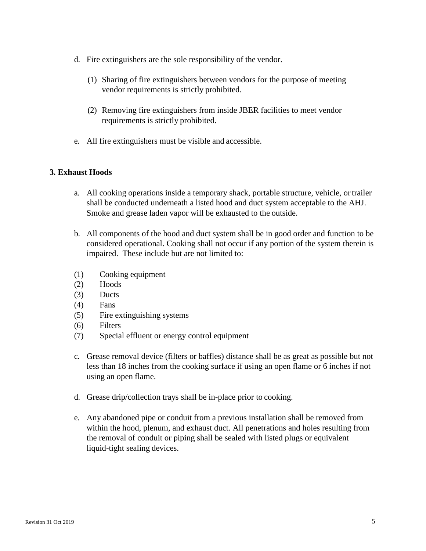- d. Fire extinguishers are the sole responsibility of the vendor.
	- (1) Sharing of fire extinguishers between vendors for the purpose of meeting vendor requirements is strictly prohibited.
	- (2) Removing fire extinguishers from inside JBER facilities to meet vendor requirements is strictly prohibited.
- e. All fire extinguishers must be visible and accessible.

# <span id="page-4-0"></span>**3. Exhaust Hoods**

- a. All cooking operations inside a temporary shack, portable structure, vehicle, ortrailer shall be conducted underneath a listed hood and duct system acceptable to the AHJ. Smoke and grease laden vapor will be exhausted to the outside.
- b. All components of the hood and duct system shall be in good order and function to be considered operational. Cooking shall not occur if any portion of the system therein is impaired. These include but are not limited to:
- (1) Cooking equipment
- (2) Hoods
- (3) Ducts
- (4) Fans
- (5) Fire extinguishing systems
- (6) Filters
- (7) Special effluent or energy control equipment
- c. Grease removal device (filters or baffles) distance shall be as great as possible but not less than 18 inches from the cooking surface if using an open flame or 6 inches if not using an open flame.
- d. Grease drip/collection trays shall be in-place prior to cooking.
- e. Any abandoned pipe or conduit from a previous installation shall be removed from within the hood, plenum, and exhaust duct. All penetrations and holes resulting from the removal of conduit or piping shall be sealed with listed plugs or equivalent liquid-tight sealing devices.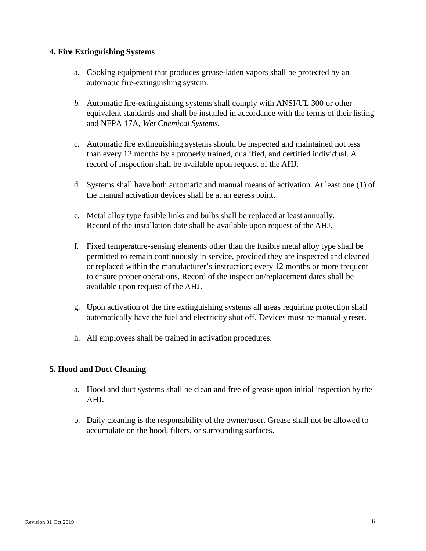# <span id="page-5-0"></span>**4. Fire Extinguishing Systems**

- a. Cooking equipment that produces grease-laden vapors shall be protected by an automatic fire-extinguishing system.
- *b.* Automatic fire-extinguishing systems shall comply with ANSI/UL 300 or other equivalent standards and shall be installed in accordance with the terms of their listing and NFPA 17A*, Wet Chemical Systems.*
- c. Automatic fire extinguishing systems should be inspected and maintained not less than every 12 months by a properly trained, qualified, and certified individual. A record of inspection shall be available upon request of the AHJ.
- d. Systems shall have both automatic and manual means of activation. At least one (1) of the manual activation devices shall be at an egress point.
- e. Metal alloy type fusible links and bulbs shall be replaced at least annually. Record of the installation date shall be available upon request of the AHJ.
- f. Fixed temperature-sensing elements other than the fusible metal alloy type shall be permitted to remain continuously in service, provided they are inspected and cleaned or replaced within the manufacturer's instruction; every 12 months or more frequent to ensure proper operations. Record of the inspection/replacement dates shall be available upon request of the AHJ.
- g. Upon activation of the fire extinguishing systems all areas requiring protection shall automatically have the fuel and electricity shut off. Devices must be manually reset.
- h. All employees shall be trained in activation procedures.

# <span id="page-5-1"></span>**5. Hood and Duct Cleaning**

- a. Hood and duct systems shall be clean and free of grease upon initial inspection by the AHJ.
- b. Daily cleaning is the responsibility of the owner/user. Grease shall not be allowed to accumulate on the hood, filters, or surrounding surfaces.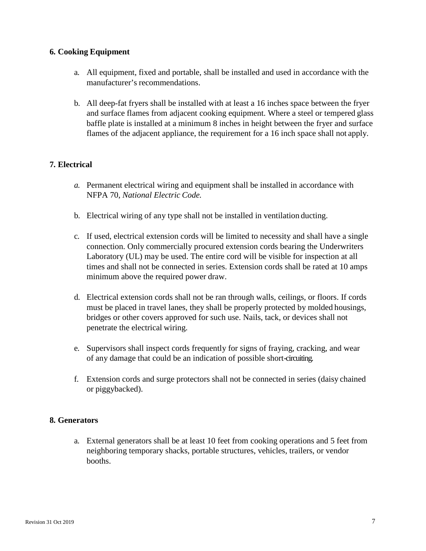# <span id="page-6-0"></span>**6. Cooking Equipment**

- a. All equipment, fixed and portable, shall be installed and used in accordance with the manufacturer's recommendations.
- b. All deep-fat fryers shall be installed with at least a 16 inches space between the fryer and surface flames from adjacent cooking equipment. Where a steel or tempered glass baffle plate is installed at a minimum 8 inches in height between the fryer and surface flames of the adjacent appliance, the requirement for a 16 inch space shall not apply.

# <span id="page-6-1"></span>**7. Electrical**

- *a.* Permanent electrical wiring and equipment shall be installed in accordance with NFPA 70, *National Electric Code.*
- b. Electrical wiring of any type shall not be installed in ventilation ducting.
- c. If used, electrical extension cords will be limited to necessity and shall have a single connection. Only commercially procured extension cords bearing the Underwriters Laboratory (UL) may be used. The entire cord will be visible for inspection at all times and shall not be connected in series. Extension cords shall be rated at 10 amps minimum above the required power draw.
- d. Electrical extension cords shall not be ran through walls, ceilings, or floors. If cords must be placed in travel lanes, they shall be properly protected by molded housings, bridges or other covers approved for such use. Nails, tack, or devices shall not penetrate the electrical wiring.
- e. Supervisors shall inspect cords frequently for signs of fraying, cracking, and wear of any damage that could be an indication of possible short-circuiting.
- f. Extension cords and surge protectors shall not be connected in series (daisy chained or piggybacked).

# <span id="page-6-2"></span>**8. Generators**

a. External generators shall be at least 10 feet from cooking operations and 5 feet from neighboring temporary shacks, portable structures, vehicles, trailers, or vendor booths.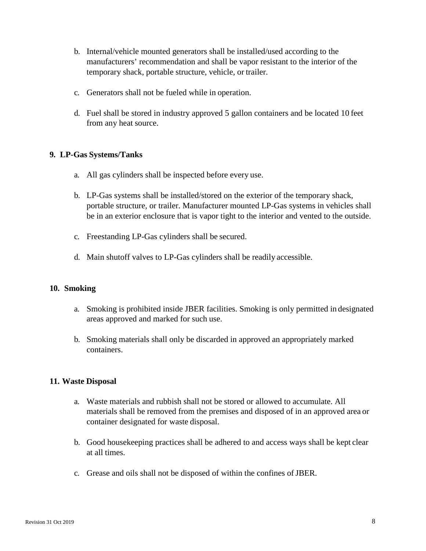- b. Internal/vehicle mounted generators shall be installed/used according to the manufacturers' recommendation and shall be vapor resistant to the interior of the temporary shack, portable structure, vehicle, or trailer.
- c. Generators shall not be fueled while in operation.
- d. Fuel shall be stored in industry approved 5 gallon containers and be located 10 feet from any heat source.

# <span id="page-7-0"></span>**9. LP-Gas Systems/Tanks**

- a. All gas cylinders shall be inspected before every use.
- b. LP-Gas systems shall be installed/stored on the exterior of the temporary shack, portable structure, or trailer. Manufacturer mounted LP-Gas systems in vehicles shall be in an exterior enclosure that is vapor tight to the interior and vented to the outside.
- c. Freestanding LP-Gas cylinders shall be secured.
- d. Main shutoff valves to LP-Gas cylinders shall be readily accessible.

#### <span id="page-7-1"></span>**10. Smoking**

- a. Smoking is prohibited inside JBER facilities. Smoking is only permitted in designated areas approved and marked for such use.
- b. Smoking materials shall only be discarded in approved an appropriately marked containers.

# <span id="page-7-2"></span>**11. Waste Disposal**

- a. Waste materials and rubbish shall not be stored or allowed to accumulate. All materials shall be removed from the premises and disposed of in an approved area or container designated for waste disposal.
- b. Good housekeeping practices shall be adhered to and access ways shall be kept clear at all times.
- c. Grease and oils shall not be disposed of within the confines of JBER.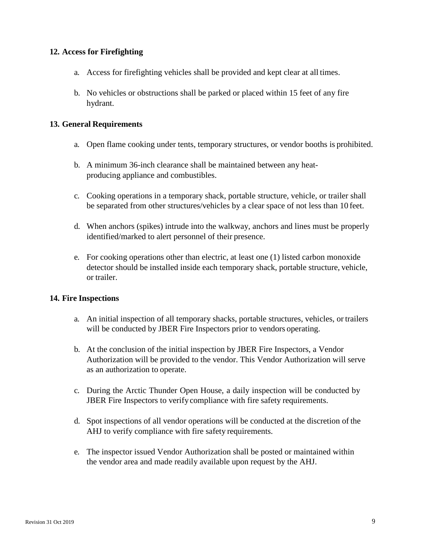# <span id="page-8-0"></span>**12. Access for Firefighting**

- a. Access for firefighting vehicles shall be provided and kept clear at all times.
- b. No vehicles or obstructions shall be parked or placed within 15 feet of any fire hydrant.

# <span id="page-8-1"></span>**13. General Requirements**

- a. Open flame cooking under tents, temporary structures, or vendor booths is prohibited.
- b. A minimum 36-inch clearance shall be maintained between any heatproducing appliance and combustibles.
- c. Cooking operations in a temporary shack, portable structure, vehicle, or trailer shall be separated from other structures/vehicles by a clear space of not less than 10 feet.
- d. When anchors (spikes) intrude into the walkway, anchors and lines must be properly identified/marked to alert personnel of their presence.
- e. For cooking operations other than electric, at least one (1) listed carbon monoxide detector should be installed inside each temporary shack, portable structure, vehicle, or trailer.

# <span id="page-8-2"></span>**14. Fire Inspections**

- a. An initial inspection of all temporary shacks, portable structures, vehicles, or trailers will be conducted by JBER Fire Inspectors prior to vendors operating.
- b. At the conclusion of the initial inspection by JBER Fire Inspectors, a Vendor Authorization will be provided to the vendor. This Vendor Authorization will serve as an authorization to operate.
- c. During the Arctic Thunder Open House, a daily inspection will be conducted by JBER Fire Inspectors to verify compliance with fire safety requirements.
- d. Spot inspections of all vendor operations will be conducted at the discretion of the AHJ to verify compliance with fire safety requirements.
- e. The inspector issued Vendor Authorization shall be posted or maintained within the vendor area and made readily available upon request by the AHJ.